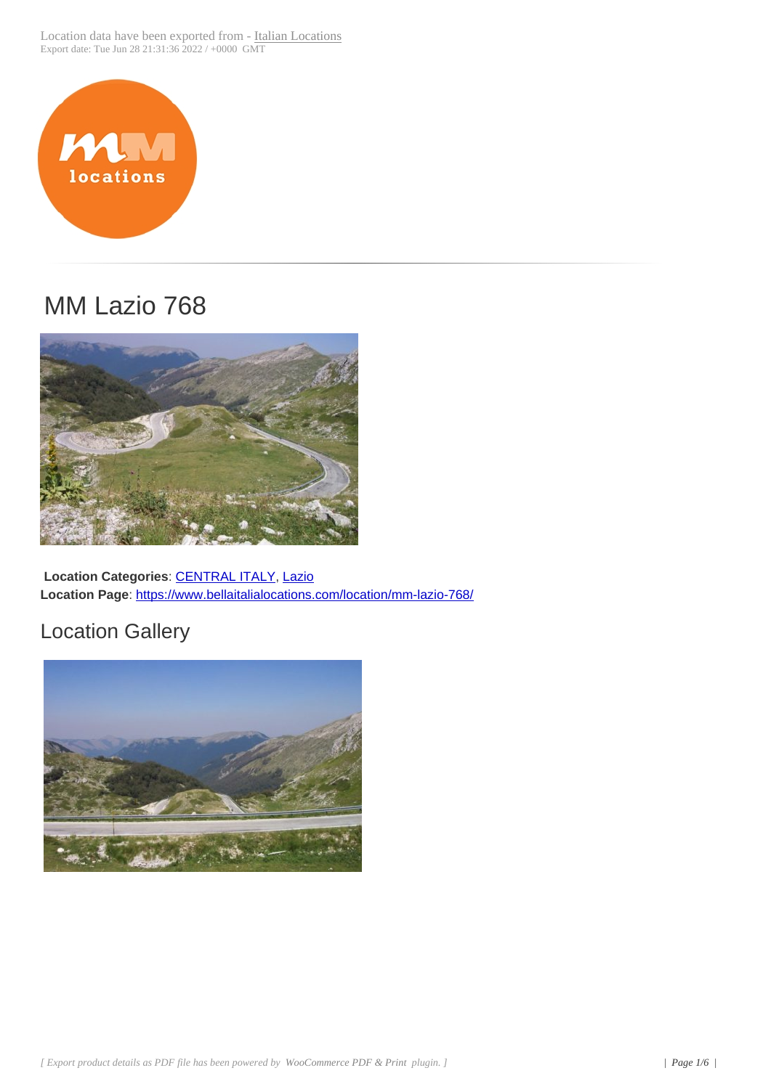

## MM Lazio 768



**Location Categories**: CENTRAL ITALY, Lazio **Location Page**: https://www.bellaitalialocations.com/location/mm-lazio-768/

## Location Galle[ry](https://www.bellaitalialocations.com/location-category/central-italy/)

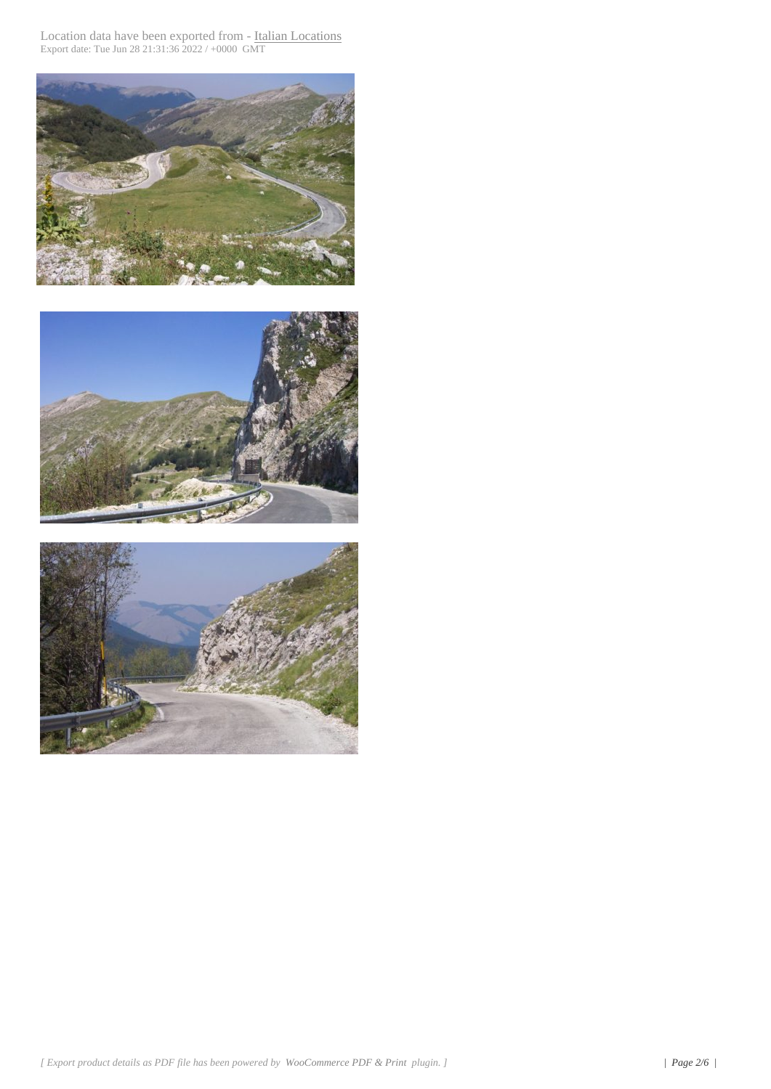



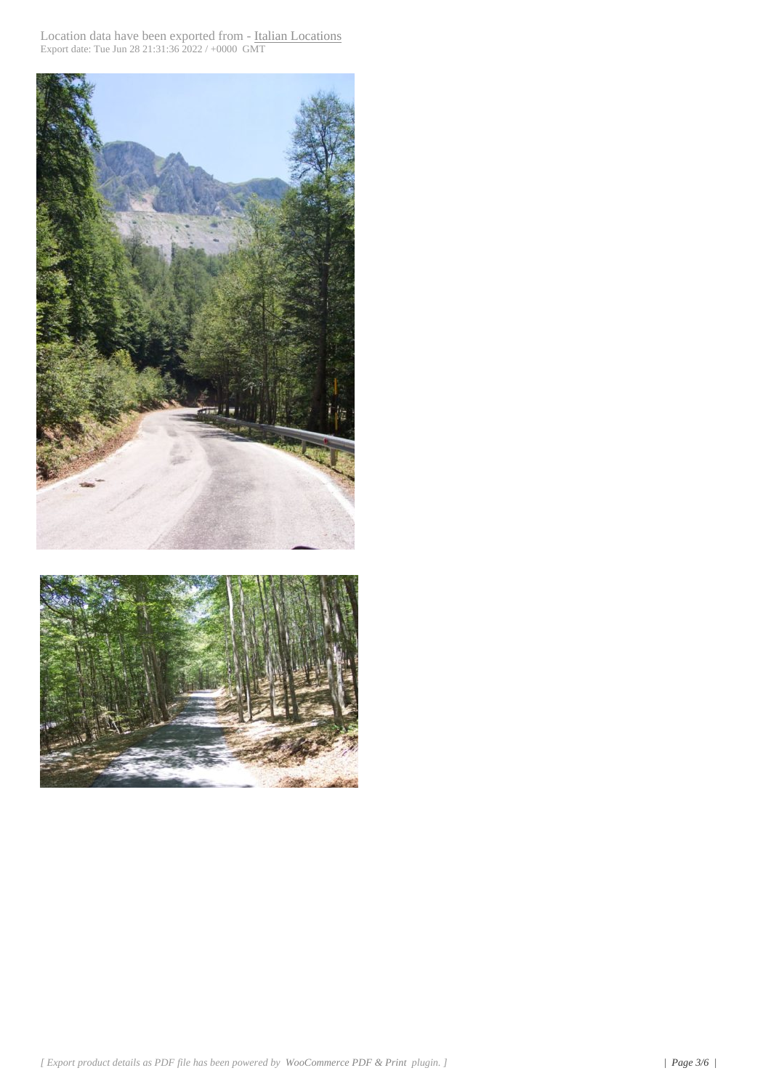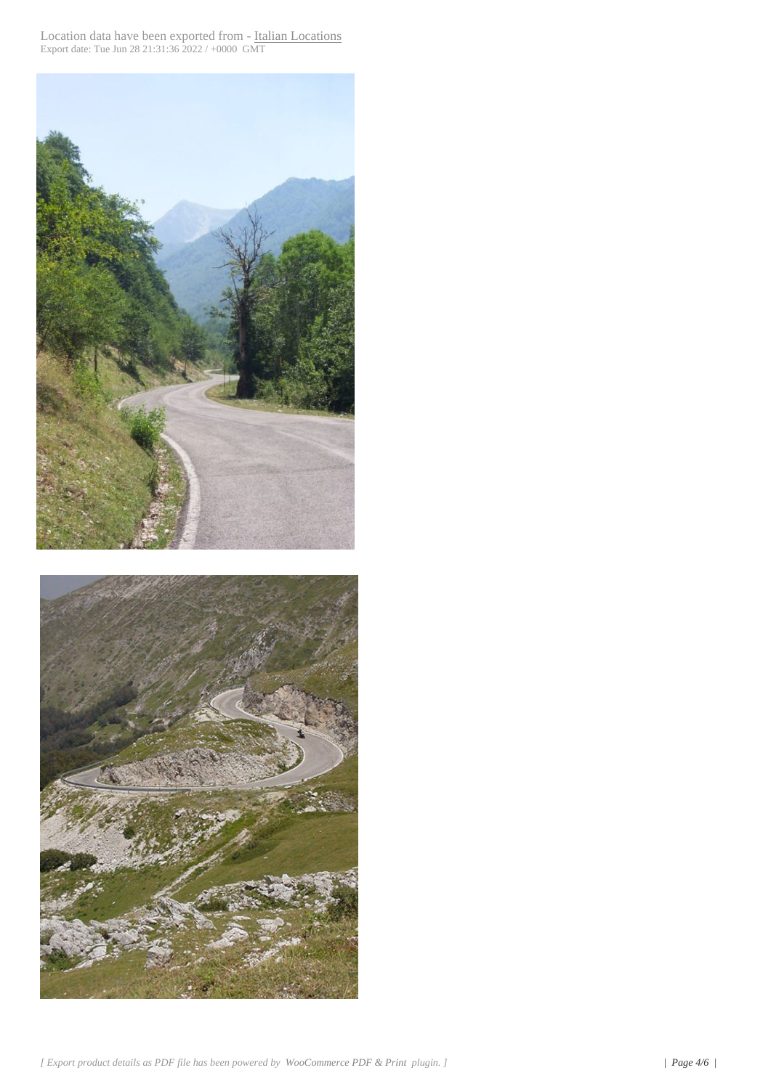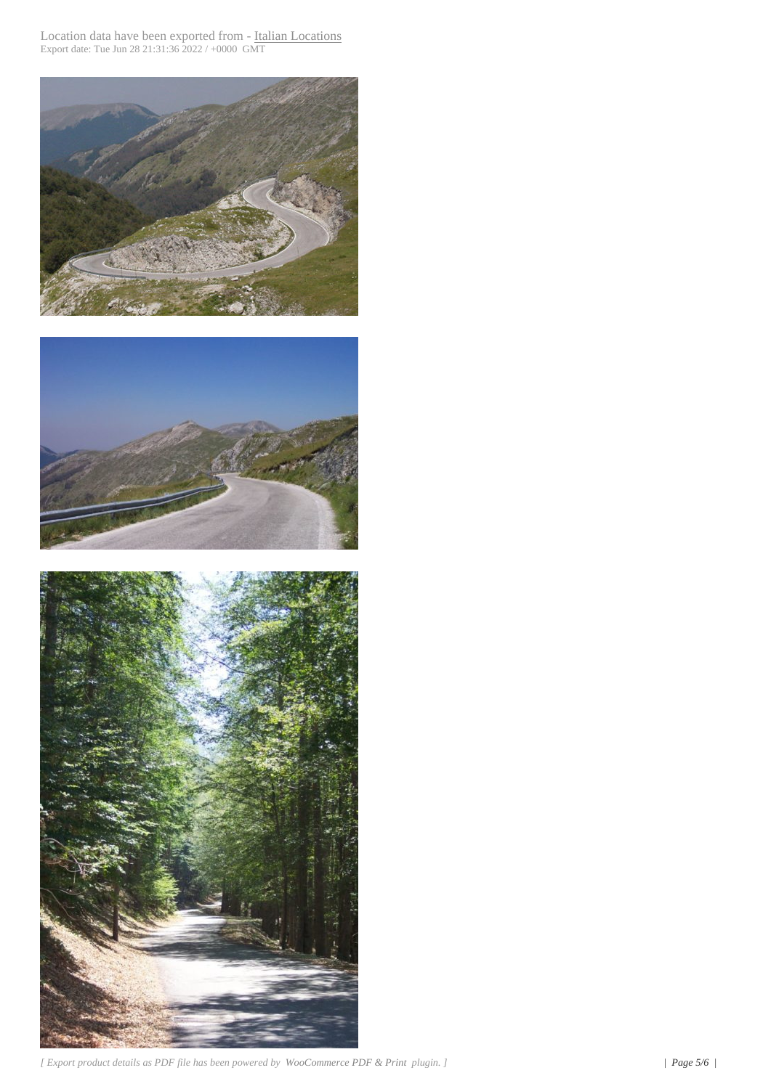





*[ Export product details as PDF file has been powered by WooCommerce PDF & Print plugin. ] | Page 5/6 |*